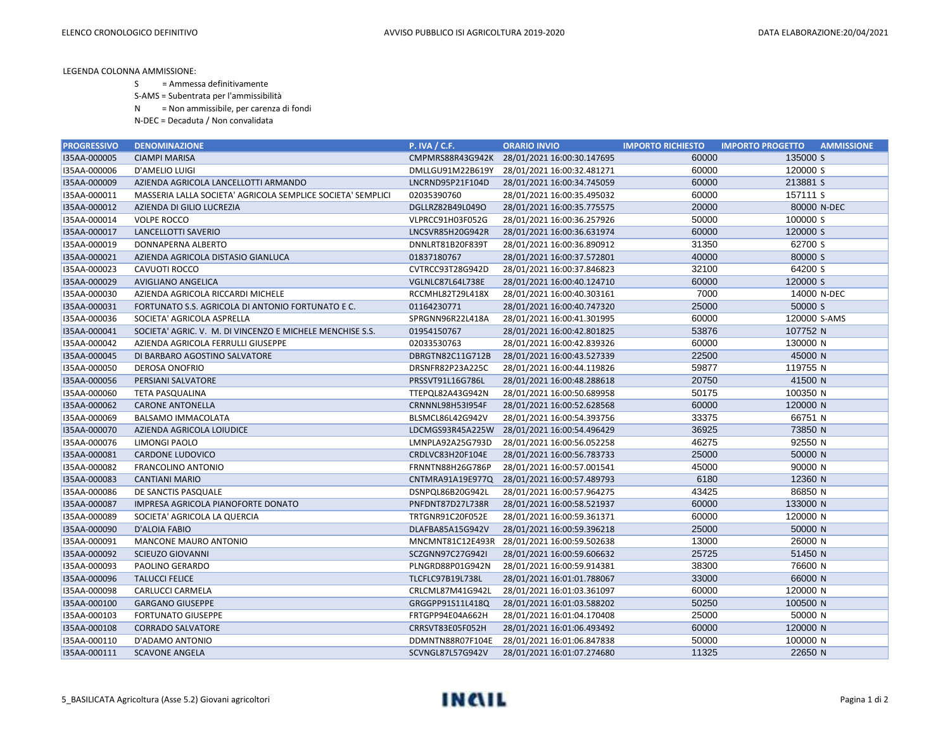LEGENDA COLONNA AMMISSIONE:

- S = Ammessa definitivamente
- S-AMS = Subentrata per l'ammissibilità
- N = Non ammissibile, per carenza di fondi
- N-DEC = Decaduta / Non convalidata

| <b>PROGRESSIVO</b> | <b>DENOMINAZIONE</b>                                        | P. IVA / C.F.           | <b>ORARIO INVIO</b>        | <b>IMPORTO RICHIESTO</b> | <b>IMPORTO PROGETTO</b><br><b>AMMISSIONE</b> |
|--------------------|-------------------------------------------------------------|-------------------------|----------------------------|--------------------------|----------------------------------------------|
| I35AA-000005       | <b>CIAMPI MARISA</b>                                        | CMPMRS88R43G942K        | 28/01/2021 16:00:30.147695 | 60000                    | 135000 S                                     |
| I35AA-000006       | D'AMELIO LUIGI                                              | DMLLGU91M22B619Y        | 28/01/2021 16:00:32.481271 | 60000                    | 120000 S                                     |
| I35AA-000009       | AZIENDA AGRICOLA LANCELLOTTI ARMANDO                        | LNCRND95P21F104D        | 28/01/2021 16:00:34.745059 | 60000                    | 213881 S                                     |
| I35AA-000011       | MASSERIA LALLA SOCIETA' AGRICOLA SEMPLICE SOCIETA' SEMPLICI | 02035390760             | 28/01/2021 16:00:35.495032 | 60000                    | 157111 S                                     |
| I35AA-000012       | AZIENDA DI GILIO LUCREZIA                                   | DGLLRZ82B49L049O        | 28/01/2021 16:00:35.775575 | 20000                    | 80000 N-DEC                                  |
| I35AA-000014       | <b>VOLPE ROCCO</b>                                          | VLPRCC91H03F052G        | 28/01/2021 16:00:36.257926 | 50000                    | 100000 S                                     |
| I35AA-000017       | LANCELLOTTI SAVERIO                                         | LNCSVR85H20G942R        | 28/01/2021 16:00:36.631974 | 60000                    | 120000 S                                     |
| I35AA-000019       | DONNAPERNA ALBERTO                                          | DNNLRT81B20F839T        | 28/01/2021 16:00:36.890912 | 31350                    | 62700 S                                      |
| I35AA-000021       | AZIENDA AGRICOLA DISTASIO GIANLUCA                          | 01837180767             | 28/01/2021 16:00:37.572801 | 40000                    | 80000 S                                      |
| I35AA-000023       | CAVUOTI ROCCO                                               | CVTRCC93T28G942D        | 28/01/2021 16:00:37.846823 | 32100                    | 64200 S                                      |
| I35AA-000029       | <b>AVIGLIANO ANGELICA</b>                                   | VGLNLC87L64L738E        | 28/01/2021 16:00:40.124710 | 60000                    | 120000 S                                     |
| I35AA-000030       | AZIENDA AGRICOLA RICCARDI MICHELE                           | RCCMHL82T29L418X        | 28/01/2021 16:00:40.303161 | 7000                     | 14000 N-DEC                                  |
| I35AA-000031       | FORTUNATO S.S. AGRICOLA DI ANTONIO FORTUNATO E C.           | 01164230771             | 28/01/2021 16:00:40.747320 | 25000                    | 50000 S                                      |
| I35AA-000036       | SOCIETA' AGRICOLA ASPRELLA                                  | SPRGNN96R22L418A        | 28/01/2021 16:00:41.301995 | 60000                    | 120000 S-AMS                                 |
| I35AA-000041       | SOCIETA' AGRIC. V. M. DI VINCENZO E MICHELE MENCHISE S.S.   | 01954150767             | 28/01/2021 16:00:42.801825 | 53876                    | 107752 N                                     |
| I35AA-000042       | AZIENDA AGRICOLA FERRULLI GIUSEPPE                          | 02033530763             | 28/01/2021 16:00:42.839326 | 60000                    | 130000 N                                     |
| I35AA-000045       | DI BARBARO AGOSTINO SALVATORE                               | DBRGTN82C11G712B        | 28/01/2021 16:00:43.527339 | 22500                    | 45000 N                                      |
| I35AA-000050       | <b>DEROSA ONOFRIO</b>                                       | DRSNFR82P23A225C        | 28/01/2021 16:00:44.119826 | 59877                    | 119755 N                                     |
| I35AA-000056       | PERSIANI SALVATORE                                          | PRSSVT91L16G786L        | 28/01/2021 16:00:48.288618 | 20750                    | 41500 N                                      |
| I35AA-000060       | <b>TETA PASQUALINA</b>                                      | TTEPQL82A43G942N        | 28/01/2021 16:00:50.689958 | 50175                    | 100350 N                                     |
| I35AA-000062       | <b>CARONE ANTONELLA</b>                                     | CRNNNL98H53I954F        | 28/01/2021 16:00:52.628568 | 60000                    | 120000 N                                     |
| I35AA-000069       | BALSAMO IMMACOLATA                                          | BLSMCL86L42G942V        | 28/01/2021 16:00:54.393756 | 33375                    | 66751 N                                      |
| I35AA-000070       | AZIENDA AGRICOLA LOIUDICE                                   | LDCMGS93R45A225W        | 28/01/2021 16:00:54.496429 | 36925                    | 73850 N                                      |
| I35AA-000076       | <b>LIMONGI PAOLO</b>                                        | LMNPLA92A25G793D        | 28/01/2021 16:00:56.052258 | 46275                    | 92550 N                                      |
| I35AA-000081       | <b>CARDONE LUDOVICO</b>                                     | CRDLVC83H20F104E        | 28/01/2021 16:00:56.783733 | 25000                    | 50000 N                                      |
| I35AA-000082       | <b>FRANCOLINO ANTONIO</b>                                   | FRNNTN88H26G786P        | 28/01/2021 16:00:57.001541 | 45000                    | 90000 N                                      |
| I35AA-000083       | <b>CANTIANI MARIO</b>                                       | CNTMRA91A19E977Q        | 28/01/2021 16:00:57.489793 | 6180                     | 12360 N                                      |
| I35AA-000086       | DE SANCTIS PASQUALE                                         | DSNPQL86B20G942L        | 28/01/2021 16:00:57.964275 | 43425                    | 86850 N                                      |
| I35AA-000087       | IMPRESA AGRICOLA PIANOFORTE DONATO                          | PNFDNT87D27L738R        | 28/01/2021 16:00:58.521937 | 60000                    | 133000 N                                     |
| I35AA-000089       | SOCIETA' AGRICOLA LA QUERCIA                                | TRTGNR91C20F052E        | 28/01/2021 16:00:59.361371 | 60000                    | 120000 N                                     |
| I35AA-000090       | D'ALOIA FABIO                                               | DLAFBA85A15G942V        | 28/01/2021 16:00:59.396218 | 25000                    | 50000 N                                      |
| I35AA-000091       | <b>MANCONE MAURO ANTONIO</b>                                | MNCMNT81C12E493R        | 28/01/2021 16:00:59.502638 | 13000                    | 26000 N                                      |
| I35AA-000092       | <b>SCIEUZO GIOVANNI</b>                                     | SCZGNN97C27G942I        | 28/01/2021 16:00:59.606632 | 25725                    | 51450 N                                      |
| I35AA-000093       | PAOLINO GERARDO                                             | PLNGRD88P01G942N        | 28/01/2021 16:00:59.914381 | 38300                    | 76600 N                                      |
| I35AA-000096       | <b>TALUCCI FELICE</b>                                       | <b>TLCFLC97B19L738L</b> | 28/01/2021 16:01:01.788067 | 33000                    | 66000 N                                      |
| I35AA-000098       | CARLUCCI CARMELA                                            | CRLCML87M41G942L        | 28/01/2021 16:01:03.361097 | 60000                    | 120000 N                                     |
| I35AA-000100       | <b>GARGANO GIUSEPPE</b>                                     | GRGGPP91S11L418Q        | 28/01/2021 16:01:03.588202 | 50250                    | 100500 N                                     |
| I35AA-000103       | <b>FORTUNATO GIUSEPPE</b>                                   | FRTGPP94E04A662H        | 28/01/2021 16:01:04.170408 | 25000                    | 50000 N                                      |
| I35AA-000108       | <b>CORRADO SALVATORE</b>                                    | CRRSVT83E05F052H        | 28/01/2021 16:01:06.493492 | 60000                    | 120000 N                                     |
| I35AA-000110       | D'ADAMO ANTONIO                                             | DDMNTN88R07F104E        | 28/01/2021 16:01:06.847838 | 50000                    | 100000 N                                     |
| I35AA-000111       | <b>SCAVONE ANGELA</b>                                       | SCVNGL87L57G942V        | 28/01/2021 16:01:07.274680 | 11325                    | 22650 N                                      |